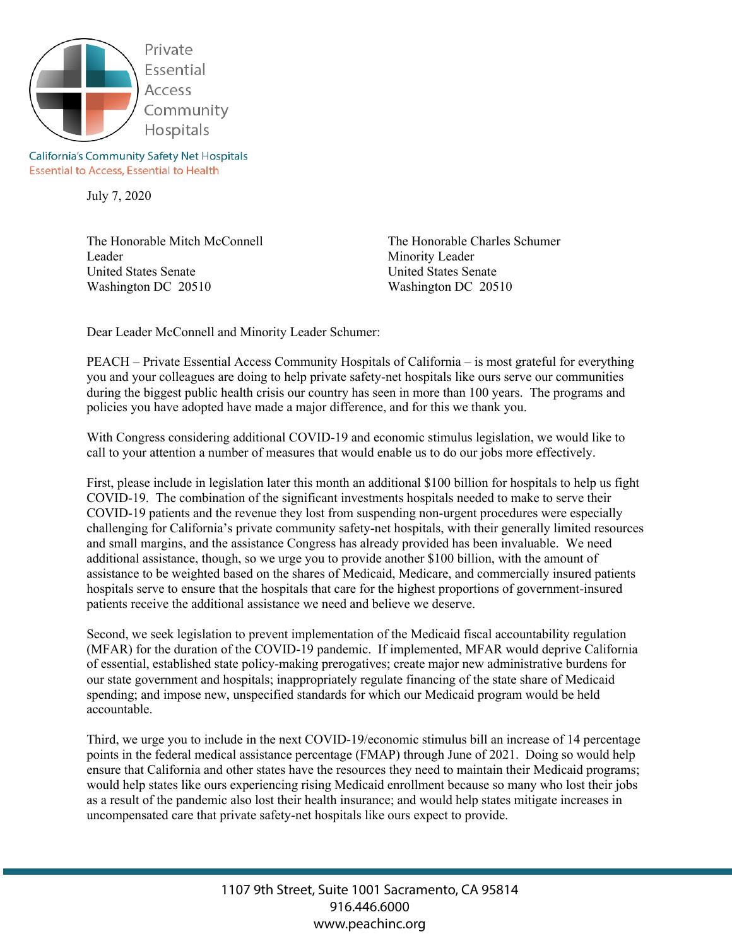

**California's Community Safety Net Hospitals Essential to Access, Essential to Health** 

July 7, 2020

The Honorable Mitch McConnell Leader United States Senate Washington DC 20510

The Honorable Charles Schumer Minority Leader United States Senate Washington DC 20510

Dear Leader McConnell and Minority Leader Schumer:

PEACH – Private Essential Access Community Hospitals of California – is most grateful for everything you and your colleagues are doing to help private safety-net hospitals like ours serve our communities during the biggest public health crisis our country has seen in more than 100 years. The programs and policies you have adopted have made a major difference, and for this we thank you.

With Congress considering additional COVID-19 and economic stimulus legislation, we would like to call to your attention a number of measures that would enable us to do our jobs more effectively.

First, please include in legislation later this month an additional \$100 billion for hospitals to help us fight COVID-19. The combination of the significant investments hospitals needed to make to serve their COVID-19 patients and the revenue they lost from suspending non-urgent procedures were especially challenging for California's private community safety-net hospitals, with their generally limited resources and small margins, and the assistance Congress has already provided has been invaluable. We need additional assistance, though, so we urge you to provide another \$100 billion, with the amount of assistance to be weighted based on the shares of Medicaid, Medicare, and commercially insured patients hospitals serve to ensure that the hospitals that care for the highest proportions of government-insured patients receive the additional assistance we need and believe we deserve.

Second, we seek legislation to prevent implementation of the Medicaid fiscal accountability regulation (MFAR) for the duration of the COVID-19 pandemic. If implemented, MFAR would deprive California of essential, established state policy-making prerogatives; create major new administrative burdens for our state government and hospitals; inappropriately regulate financing of the state share of Medicaid spending; and impose new, unspecified standards for which our Medicaid program would be held accountable.

Third, we urge you to include in the next COVID-19/economic stimulus bill an increase of 14 percentage points in the federal medical assistance percentage (FMAP) through June of 2021. Doing so would help ensure that California and other states have the resources they need to maintain their Medicaid programs; would help states like ours experiencing rising Medicaid enrollment because so many who lost their jobs as a result of the pandemic also lost their health insurance; and would help states mitigate increases in uncompensated care that private safety-net hospitals like ours expect to provide.

> 1107 9th Street, Suite 1001 Sacramento, CA 95814 916.446.6000 www.peachinc.org